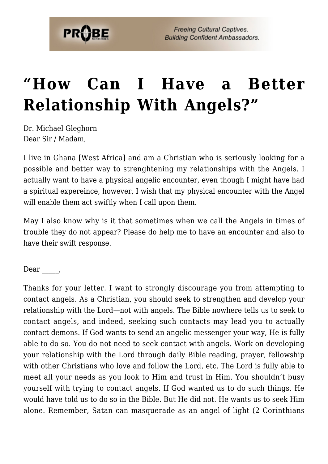## **["How Can I Have a Better](https://probe.org/how-can-i-have-a-better-relationship-with-angels/) [Relationship With Angels?"](https://probe.org/how-can-i-have-a-better-relationship-with-angels/)**

Dr. Michael Gleghorn Dear Sir / Madam,

I live in Ghana [West Africa] and am a Christian who is seriously looking for a possible and better way to strenghtening my relationships with the Angels. I actually want to have a physical angelic encounter, even though I might have had a spiritual expereince, however, I wish that my physical encounter with the Angel will enable them act swiftly when I call upon them.

May I also know why is it that sometimes when we call the Angels in times of trouble they do not appear? Please do help me to have an encounter and also to have their swift response.

Dear,

Thanks for your letter. I want to strongly discourage you from attempting to contact angels. As a Christian, you should seek to strengthen and develop your relationship with the Lord—not with angels. The Bible nowhere tells us to seek to contact angels, and indeed, seeking such contacts may lead you to actually contact demons. If God wants to send an angelic messenger your way, He is fully able to do so. You do not need to seek contact with angels. Work on developing your relationship with the Lord through daily Bible reading, prayer, fellowship with other Christians who love and follow the Lord, etc. The Lord is fully able to meet all your needs as you look to Him and trust in Him. You shouldn't busy yourself with trying to contact angels. If God wanted us to do such things, He would have told us to do so in the Bible. But He did not. He wants us to seek Him alone. Remember, Satan can masquerade as an angel of light (2 Corinthians